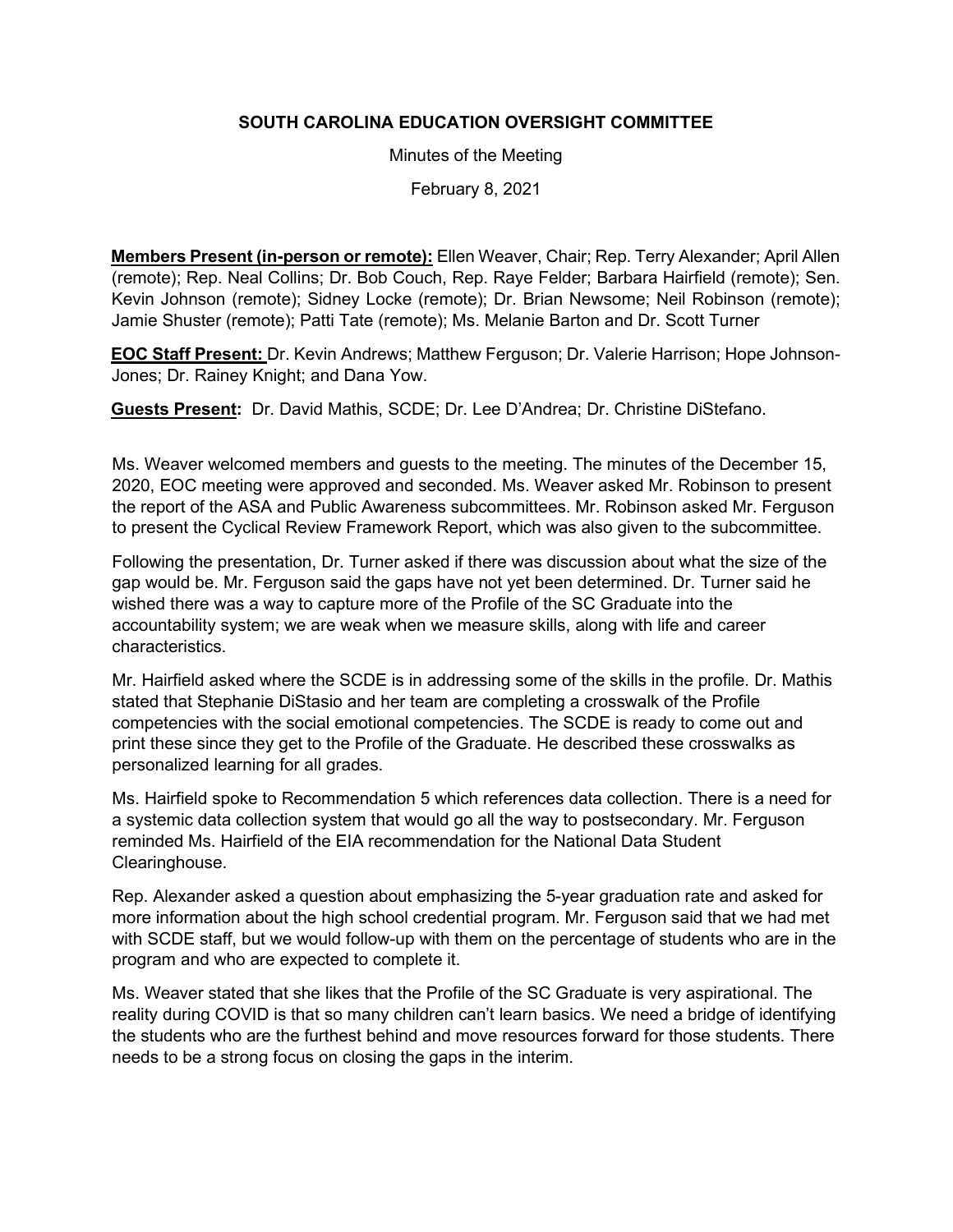## **SOUTH CAROLINA EDUCATION OVERSIGHT COMMITTEE**

Minutes of the Meeting

February 8, 2021

**Members Present (in-person or remote):** Ellen Weaver, Chair; Rep. Terry Alexander; April Allen (remote); Rep. Neal Collins; Dr. Bob Couch, Rep. Raye Felder; Barbara Hairfield (remote); Sen. Kevin Johnson (remote); Sidney Locke (remote); Dr. Brian Newsome; Neil Robinson (remote); Jamie Shuster (remote); Patti Tate (remote); Ms. Melanie Barton and Dr. Scott Turner

**EOC Staff Present:** Dr. Kevin Andrews; Matthew Ferguson; Dr. Valerie Harrison; Hope Johnson-Jones; Dr. Rainey Knight; and Dana Yow.

**Guests Present:** Dr. David Mathis, SCDE; Dr. Lee D'Andrea; Dr. Christine DiStefano.

Ms. Weaver welcomed members and guests to the meeting. The minutes of the December 15, 2020, EOC meeting were approved and seconded. Ms. Weaver asked Mr. Robinson to present the report of the ASA and Public Awareness subcommittees. Mr. Robinson asked Mr. Ferguson to present the Cyclical Review Framework Report, which was also given to the subcommittee.

Following the presentation, Dr. Turner asked if there was discussion about what the size of the gap would be. Mr. Ferguson said the gaps have not yet been determined. Dr. Turner said he wished there was a way to capture more of the Profile of the SC Graduate into the accountability system; we are weak when we measure skills, along with life and career characteristics.

Mr. Hairfield asked where the SCDE is in addressing some of the skills in the profile. Dr. Mathis stated that Stephanie DiStasio and her team are completing a crosswalk of the Profile competencies with the social emotional competencies. The SCDE is ready to come out and print these since they get to the Profile of the Graduate. He described these crosswalks as personalized learning for all grades.

Ms. Hairfield spoke to Recommendation 5 which references data collection. There is a need for a systemic data collection system that would go all the way to postsecondary. Mr. Ferguson reminded Ms. Hairfield of the EIA recommendation for the National Data Student Clearinghouse.

Rep. Alexander asked a question about emphasizing the 5-year graduation rate and asked for more information about the high school credential program. Mr. Ferguson said that we had met with SCDE staff, but we would follow-up with them on the percentage of students who are in the program and who are expected to complete it.

Ms. Weaver stated that she likes that the Profile of the SC Graduate is very aspirational. The reality during COVID is that so many children can't learn basics. We need a bridge of identifying the students who are the furthest behind and move resources forward for those students. There needs to be a strong focus on closing the gaps in the interim.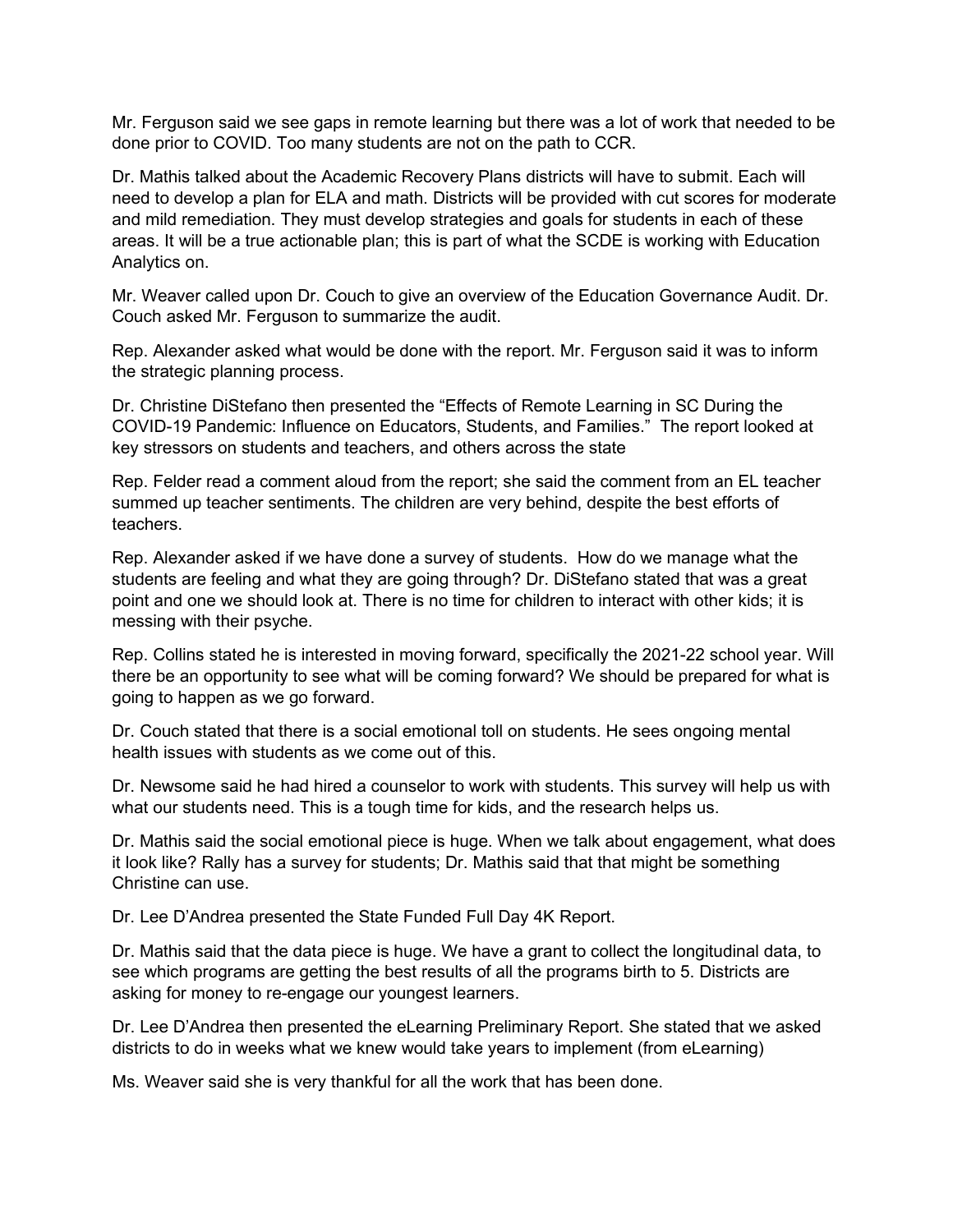Mr. Ferguson said we see gaps in remote learning but there was a lot of work that needed to be done prior to COVID. Too many students are not on the path to CCR.

Dr. Mathis talked about the Academic Recovery Plans districts will have to submit. Each will need to develop a plan for ELA and math. Districts will be provided with cut scores for moderate and mild remediation. They must develop strategies and goals for students in each of these areas. It will be a true actionable plan; this is part of what the SCDE is working with Education Analytics on.

Mr. Weaver called upon Dr. Couch to give an overview of the Education Governance Audit. Dr. Couch asked Mr. Ferguson to summarize the audit.

Rep. Alexander asked what would be done with the report. Mr. Ferguson said it was to inform the strategic planning process.

Dr. Christine DiStefano then presented the "Effects of Remote Learning in SC During the COVID-19 Pandemic: Influence on Educators, Students, and Families." The report looked at key stressors on students and teachers, and others across the state

Rep. Felder read a comment aloud from the report; she said the comment from an EL teacher summed up teacher sentiments. The children are very behind, despite the best efforts of teachers.

Rep. Alexander asked if we have done a survey of students. How do we manage what the students are feeling and what they are going through? Dr. DiStefano stated that was a great point and one we should look at. There is no time for children to interact with other kids; it is messing with their psyche.

Rep. Collins stated he is interested in moving forward, specifically the 2021-22 school year. Will there be an opportunity to see what will be coming forward? We should be prepared for what is going to happen as we go forward.

Dr. Couch stated that there is a social emotional toll on students. He sees ongoing mental health issues with students as we come out of this.

Dr. Newsome said he had hired a counselor to work with students. This survey will help us with what our students need. This is a tough time for kids, and the research helps us.

Dr. Mathis said the social emotional piece is huge. When we talk about engagement, what does it look like? Rally has a survey for students; Dr. Mathis said that that might be something Christine can use.

Dr. Lee D'Andrea presented the State Funded Full Day 4K Report.

Dr. Mathis said that the data piece is huge. We have a grant to collect the longitudinal data, to see which programs are getting the best results of all the programs birth to 5. Districts are asking for money to re-engage our youngest learners.

Dr. Lee D'Andrea then presented the eLearning Preliminary Report. She stated that we asked districts to do in weeks what we knew would take years to implement (from eLearning)

Ms. Weaver said she is very thankful for all the work that has been done.